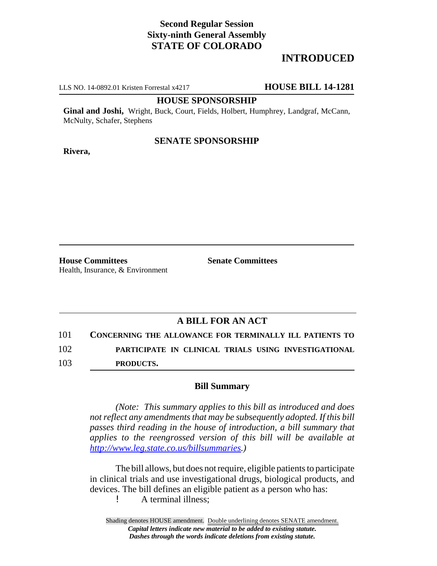# **Second Regular Session Sixty-ninth General Assembly STATE OF COLORADO**

# **INTRODUCED**

LLS NO. 14-0892.01 Kristen Forrestal x4217 **HOUSE BILL 14-1281**

### **HOUSE SPONSORSHIP**

**Ginal and Joshi,** Wright, Buck, Court, Fields, Holbert, Humphrey, Landgraf, McCann, McNulty, Schafer, Stephens

## **SENATE SPONSORSHIP**

**Rivera,**

**House Committees Senate Committees** Health, Insurance, & Environment

## **A BILL FOR AN ACT**

101 **CONCERNING THE ALLOWANCE FOR TERMINALLY ILL PATIENTS TO**

102 **PARTICIPATE IN CLINICAL TRIALS USING INVESTIGATIONAL**

103 **PRODUCTS.**

## **Bill Summary**

*(Note: This summary applies to this bill as introduced and does not reflect any amendments that may be subsequently adopted. If this bill passes third reading in the house of introduction, a bill summary that applies to the reengrossed version of this bill will be available at http://www.leg.state.co.us/billsummaries.)*

The bill allows, but does not require, eligible patients to participate in clinical trials and use investigational drugs, biological products, and devices. The bill defines an eligible patient as a person who has:

! A terminal illness;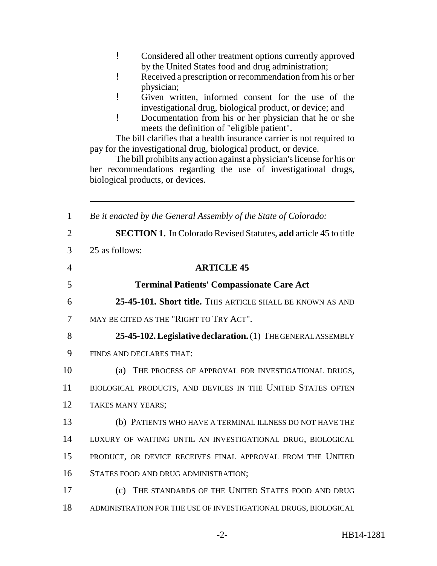- ! Considered all other treatment options currently approved by the United States food and drug administration;
- ! Received a prescription or recommendation from his or her physician;
- ! Given written, informed consent for the use of the investigational drug, biological product, or device; and
- ! Documentation from his or her physician that he or she meets the definition of "eligible patient".

The bill clarifies that a health insurance carrier is not required to pay for the investigational drug, biological product, or device.

The bill prohibits any action against a physician's license for his or her recommendations regarding the use of investigational drugs, biological products, or devices.

| $\mathbf{1}$   | Be it enacted by the General Assembly of the State of Colorado:         |
|----------------|-------------------------------------------------------------------------|
| $\overline{2}$ | <b>SECTION 1.</b> In Colorado Revised Statutes, add article 45 to title |
| 3              | 25 as follows:                                                          |
| $\overline{4}$ | <b>ARTICLE 45</b>                                                       |
| 5              | <b>Terminal Patients' Compassionate Care Act</b>                        |
| 6              | 25-45-101. Short title. This article shall be known as and              |
| 7              | MAY BE CITED AS THE "RIGHT TO TRY ACT".                                 |
| 8              | 25-45-102. Legislative declaration. (1) THE GENERAL ASSEMBLY            |
| 9              | FINDS AND DECLARES THAT:                                                |
| 10             | THE PROCESS OF APPROVAL FOR INVESTIGATIONAL DRUGS,<br>(a)               |
| 11             | BIOLOGICAL PRODUCTS, AND DEVICES IN THE UNITED STATES OFTEN             |
| 12             | TAKES MANY YEARS;                                                       |
| 13             | (b) PATIENTS WHO HAVE A TERMINAL ILLNESS DO NOT HAVE THE                |
| 14             | LUXURY OF WAITING UNTIL AN INVESTIGATIONAL DRUG, BIOLOGICAL             |
| 15             | PRODUCT, OR DEVICE RECEIVES FINAL APPROVAL FROM THE UNITED              |
| 16             | STATES FOOD AND DRUG ADMINISTRATION;                                    |
| 17             | THE STANDARDS OF THE UNITED STATES FOOD AND DRUG<br>(c)                 |
| 18             | ADMINISTRATION FOR THE USE OF INVESTIGATIONAL DRUGS, BIOLOGICAL         |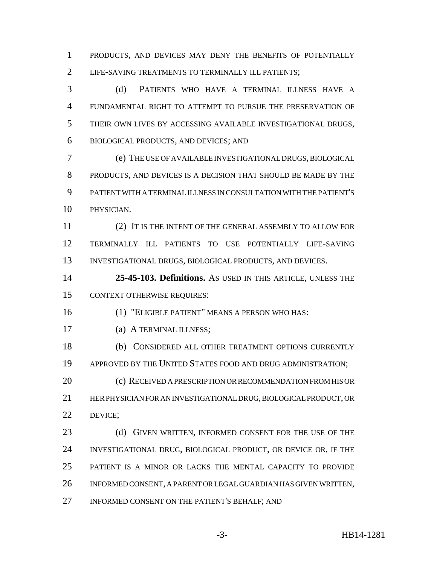PRODUCTS, AND DEVICES MAY DENY THE BENEFITS OF POTENTIALLY LIFE-SAVING TREATMENTS TO TERMINALLY ILL PATIENTS;

 (d) PATIENTS WHO HAVE A TERMINAL ILLNESS HAVE A FUNDAMENTAL RIGHT TO ATTEMPT TO PURSUE THE PRESERVATION OF THEIR OWN LIVES BY ACCESSING AVAILABLE INVESTIGATIONAL DRUGS, BIOLOGICAL PRODUCTS, AND DEVICES; AND

 (e) THE USE OF AVAILABLE INVESTIGATIONAL DRUGS, BIOLOGICAL PRODUCTS, AND DEVICES IS A DECISION THAT SHOULD BE MADE BY THE PATIENT WITH A TERMINAL ILLNESS IN CONSULTATION WITH THE PATIENT'S PHYSICIAN.

 (2) IT IS THE INTENT OF THE GENERAL ASSEMBLY TO ALLOW FOR TERMINALLY ILL PATIENTS TO USE POTENTIALLY LIFE-SAVING 13 INVESTIGATIONAL DRUGS, BIOLOGICAL PRODUCTS, AND DEVICES.

 **25-45-103. Definitions.** AS USED IN THIS ARTICLE, UNLESS THE CONTEXT OTHERWISE REQUIRES:

(1) "ELIGIBLE PATIENT" MEANS A PERSON WHO HAS:

(a) A TERMINAL ILLNESS;

 (b) CONSIDERED ALL OTHER TREATMENT OPTIONS CURRENTLY APPROVED BY THE UNITED STATES FOOD AND DRUG ADMINISTRATION;

20 (c) RECEIVED A PRESCRIPTION OR RECOMMENDATION FROM HIS OR HER PHYSICIAN FOR AN INVESTIGATIONAL DRUG, BIOLOGICAL PRODUCT, OR DEVICE;

23 (d) GIVEN WRITTEN, INFORMED CONSENT FOR THE USE OF THE INVESTIGATIONAL DRUG, BIOLOGICAL PRODUCT, OR DEVICE OR, IF THE PATIENT IS A MINOR OR LACKS THE MENTAL CAPACITY TO PROVIDE INFORMED CONSENT, A PARENT OR LEGAL GUARDIAN HAS GIVEN WRITTEN, INFORMED CONSENT ON THE PATIENT'S BEHALF; AND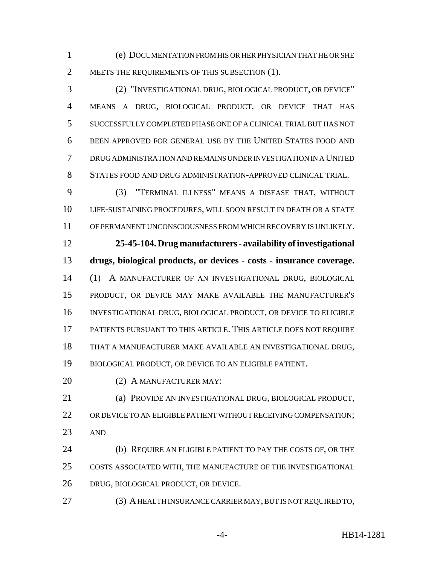(e) DOCUMENTATION FROM HIS OR HER PHYSICIAN THAT HE OR SHE 2 MEETS THE REQUIREMENTS OF THIS SUBSECTION (1).

 (2) "INVESTIGATIONAL DRUG, BIOLOGICAL PRODUCT, OR DEVICE" MEANS A DRUG, BIOLOGICAL PRODUCT, OR DEVICE THAT HAS SUCCESSFULLY COMPLETED PHASE ONE OF A CLINICAL TRIAL BUT HAS NOT BEEN APPROVED FOR GENERAL USE BY THE UNITED STATES FOOD AND DRUG ADMINISTRATION AND REMAINS UNDER INVESTIGATION IN A UNITED STATES FOOD AND DRUG ADMINISTRATION-APPROVED CLINICAL TRIAL.

 (3) "TERMINAL ILLNESS" MEANS A DISEASE THAT, WITHOUT LIFE-SUSTAINING PROCEDURES, WILL SOON RESULT IN DEATH OR A STATE OF PERMANENT UNCONSCIOUSNESS FROM WHICH RECOVERY IS UNLIKELY.

 **25-45-104. Drug manufacturers - availability of investigational drugs, biological products, or devices - costs - insurance coverage.** (1) A MANUFACTURER OF AN INVESTIGATIONAL DRUG, BIOLOGICAL PRODUCT, OR DEVICE MAY MAKE AVAILABLE THE MANUFACTURER'S INVESTIGATIONAL DRUG, BIOLOGICAL PRODUCT, OR DEVICE TO ELIGIBLE PATIENTS PURSUANT TO THIS ARTICLE. THIS ARTICLE DOES NOT REQUIRE THAT A MANUFACTURER MAKE AVAILABLE AN INVESTIGATIONAL DRUG, BIOLOGICAL PRODUCT, OR DEVICE TO AN ELIGIBLE PATIENT.

(2) A MANUFACTURER MAY:

 (a) PROVIDE AN INVESTIGATIONAL DRUG, BIOLOGICAL PRODUCT, 22 OR DEVICE TO AN ELIGIBLE PATIENT WITHOUT RECEIVING COMPENSATION; AND

 (b) REQUIRE AN ELIGIBLE PATIENT TO PAY THE COSTS OF, OR THE COSTS ASSOCIATED WITH, THE MANUFACTURE OF THE INVESTIGATIONAL DRUG, BIOLOGICAL PRODUCT, OR DEVICE.

(3) A HEALTH INSURANCE CARRIER MAY, BUT IS NOT REQUIRED TO,